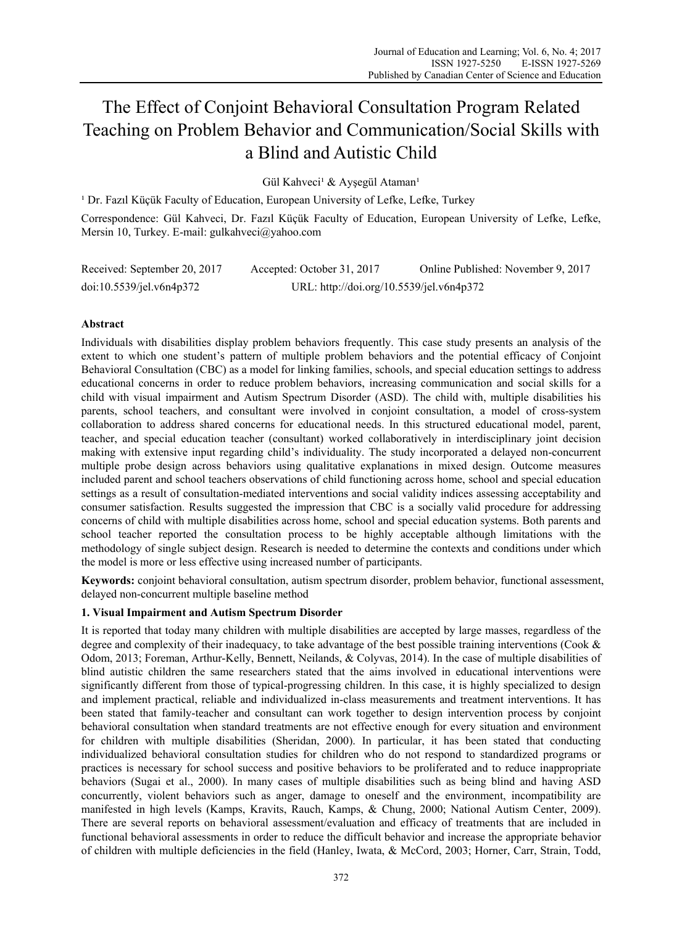# The Effect of Conjoint Behavioral Consultation Program Related Teaching on Problem Behavior and Communication/Social Skills with a Blind and Autistic Child

Gül Kahveci<sup>1</sup> & Ayşegül Ataman<sup>1</sup>

<sup>1</sup> Dr. Fazıl Küçük Faculty of Education, European University of Lefke, Lefke, Turkey Correspondence: Gül Kahveci, Dr. Fazıl Küçük Faculty of Education, European University of Lefke, Lefke, Mersin 10, Turkey. E-mail: gulkahveci@yahoo.com

| Received: September 20, 2017 | Accepted: October 31, 2017               | Online Published: November 9, 2017 |
|------------------------------|------------------------------------------|------------------------------------|
| doi:10.5539/jel.v6n4p372     | URL: http://doi.org/10.5539/jel.v6n4p372 |                                    |

# **Abstract**

Individuals with disabilities display problem behaviors frequently. This case study presents an analysis of the extent to which one student's pattern of multiple problem behaviors and the potential efficacy of Conjoint Behavioral Consultation (CBC) as a model for linking families, schools, and special education settings to address educational concerns in order to reduce problem behaviors, increasing communication and social skills for a child with visual impairment and Autism Spectrum Disorder (ASD). The child with, multiple disabilities his parents, school teachers, and consultant were involved in conjoint consultation, a model of cross-system collaboration to address shared concerns for educational needs. In this structured educational model, parent, teacher, and special education teacher (consultant) worked collaboratively in interdisciplinary joint decision making with extensive input regarding child's individuality. The study incorporated a delayed non-concurrent multiple probe design across behaviors using qualitative explanations in mixed design. Outcome measures included parent and school teachers observations of child functioning across home, school and special education settings as a result of consultation-mediated interventions and social validity indices assessing acceptability and consumer satisfaction. Results suggested the impression that CBC is a socially valid procedure for addressing concerns of child with multiple disabilities across home, school and special education systems. Both parents and school teacher reported the consultation process to be highly acceptable although limitations with the methodology of single subject design. Research is needed to determine the contexts and conditions under which the model is more or less effective using increased number of participants.

**Keywords:** conjoint behavioral consultation, autism spectrum disorder, problem behavior, functional assessment, delayed non-concurrent multiple baseline method

# **1. Visual Impairment and Autism Spectrum Disorder**

It is reported that today many children with multiple disabilities are accepted by large masses, regardless of the degree and complexity of their inadequacy, to take advantage of the best possible training interventions (Cook & Odom, 2013; Foreman, Arthur-Kelly, Bennett, Neilands, & Colyvas, 2014). In the case of multiple disabilities of blind autistic children the same researchers stated that the aims involved in educational interventions were significantly different from those of typical-progressing children. In this case, it is highly specialized to design and implement practical, reliable and individualized in-class measurements and treatment interventions. It has been stated that family-teacher and consultant can work together to design intervention process by conjoint behavioral consultation when standard treatments are not effective enough for every situation and environment for children with multiple disabilities (Sheridan, 2000). In particular, it has been stated that conducting individualized behavioral consultation studies for children who do not respond to standardized programs or practices is necessary for school success and positive behaviors to be proliferated and to reduce inappropriate behaviors (Sugai et al., 2000). In many cases of multiple disabilities such as being blind and having ASD concurrently, violent behaviors such as anger, damage to oneself and the environment, incompatibility are manifested in high levels (Kamps, Kravits, Rauch, Kamps, & Chung, 2000; National Autism Center, 2009). There are several reports on behavioral assessment/evaluation and efficacy of treatments that are included in functional behavioral assessments in order to reduce the difficult behavior and increase the appropriate behavior of children with multiple deficiencies in the field (Hanley, Iwata, & McCord, 2003; Horner, Carr, Strain, Todd,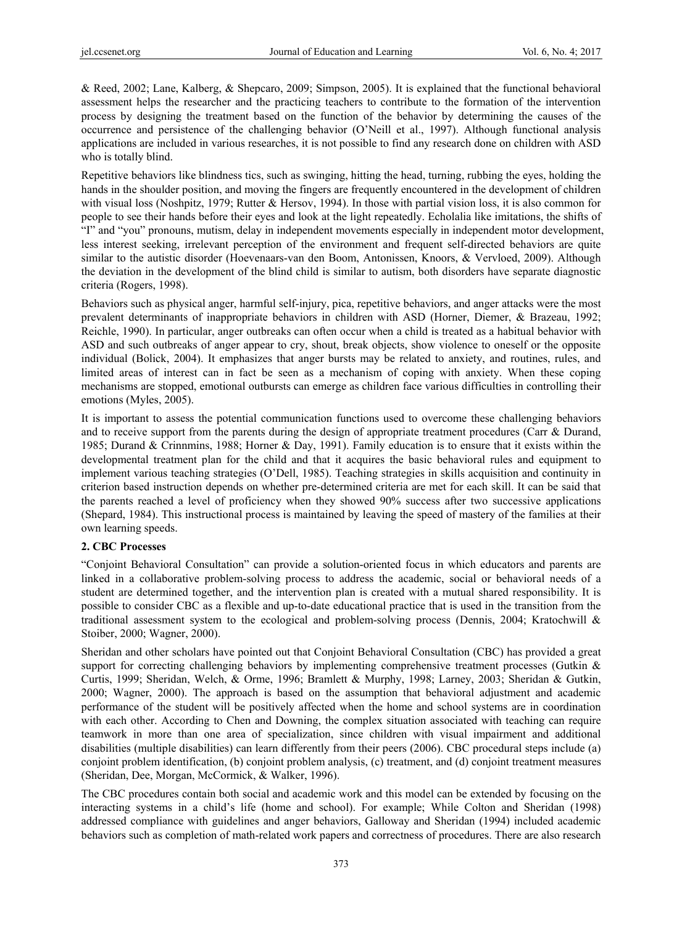& Reed, 2002; Lane, Kalberg, & Shepcaro, 2009; Simpson, 2005). It is explained that the functional behavioral assessment helps the researcher and the practicing teachers to contribute to the formation of the intervention process by designing the treatment based on the function of the behavior by determining the causes of the occurrence and persistence of the challenging behavior (O'Neill et al., 1997). Although functional analysis applications are included in various researches, it is not possible to find any research done on children with ASD who is totally blind.

Repetitive behaviors like blindness tics, such as swinging, hitting the head, turning, rubbing the eyes, holding the hands in the shoulder position, and moving the fingers are frequently encountered in the development of children with visual loss (Noshpitz, 1979; Rutter & Hersov, 1994). In those with partial vision loss, it is also common for people to see their hands before their eyes and look at the light repeatedly. Echolalia like imitations, the shifts of "I" and "you" pronouns, mutism, delay in independent movements especially in independent motor development, less interest seeking, irrelevant perception of the environment and frequent self-directed behaviors are quite similar to the autistic disorder (Hoevenaars-van den Boom, Antonissen, Knoors, & Vervloed, 2009). Although the deviation in the development of the blind child is similar to autism, both disorders have separate diagnostic criteria (Rogers, 1998).

Behaviors such as physical anger, harmful self-injury, pica, repetitive behaviors, and anger attacks were the most prevalent determinants of inappropriate behaviors in children with ASD (Horner, Diemer, & Brazeau, 1992; Reichle, 1990). In particular, anger outbreaks can often occur when a child is treated as a habitual behavior with ASD and such outbreaks of anger appear to cry, shout, break objects, show violence to oneself or the opposite individual (Bolick, 2004). It emphasizes that anger bursts may be related to anxiety, and routines, rules, and limited areas of interest can in fact be seen as a mechanism of coping with anxiety. When these coping mechanisms are stopped, emotional outbursts can emerge as children face various difficulties in controlling their emotions (Myles, 2005).

It is important to assess the potential communication functions used to overcome these challenging behaviors and to receive support from the parents during the design of appropriate treatment procedures (Carr & Durand, 1985; Durand & Crinnmins, 1988; Horner & Day, 1991). Family education is to ensure that it exists within the developmental treatment plan for the child and that it acquires the basic behavioral rules and equipment to implement various teaching strategies (O'Dell, 1985). Teaching strategies in skills acquisition and continuity in criterion based instruction depends on whether pre-determined criteria are met for each skill. It can be said that the parents reached a level of proficiency when they showed 90% success after two successive applications (Shepard, 1984). This instructional process is maintained by leaving the speed of mastery of the families at their own learning speeds.

#### **2. CBC Processes**

"Conjoint Behavioral Consultation" can provide a solution-oriented focus in which educators and parents are linked in a collaborative problem-solving process to address the academic, social or behavioral needs of a student are determined together, and the intervention plan is created with a mutual shared responsibility. It is possible to consider CBC as a flexible and up-to-date educational practice that is used in the transition from the traditional assessment system to the ecological and problem-solving process (Dennis, 2004; Kratochwill & Stoiber, 2000; Wagner, 2000).

Sheridan and other scholars have pointed out that Conjoint Behavioral Consultation (CBC) has provided a great support for correcting challenging behaviors by implementing comprehensive treatment processes (Gutkin & Curtis, 1999; Sheridan, Welch, & Orme, 1996; Bramlett & Murphy, 1998; Larney, 2003; Sheridan & Gutkin, 2000; Wagner, 2000). The approach is based on the assumption that behavioral adjustment and academic performance of the student will be positively affected when the home and school systems are in coordination with each other. According to Chen and Downing, the complex situation associated with teaching can require teamwork in more than one area of specialization, since children with visual impairment and additional disabilities (multiple disabilities) can learn differently from their peers (2006). CBC procedural steps include (a) conjoint problem identification, (b) conjoint problem analysis, (c) treatment, and (d) conjoint treatment measures (Sheridan, Dee, Morgan, McCormick, & Walker, 1996).

The CBC procedures contain both social and academic work and this model can be extended by focusing on the interacting systems in a child's life (home and school). For example; While Colton and Sheridan (1998) addressed compliance with guidelines and anger behaviors, Galloway and Sheridan (1994) included academic behaviors such as completion of math-related work papers and correctness of procedures. There are also research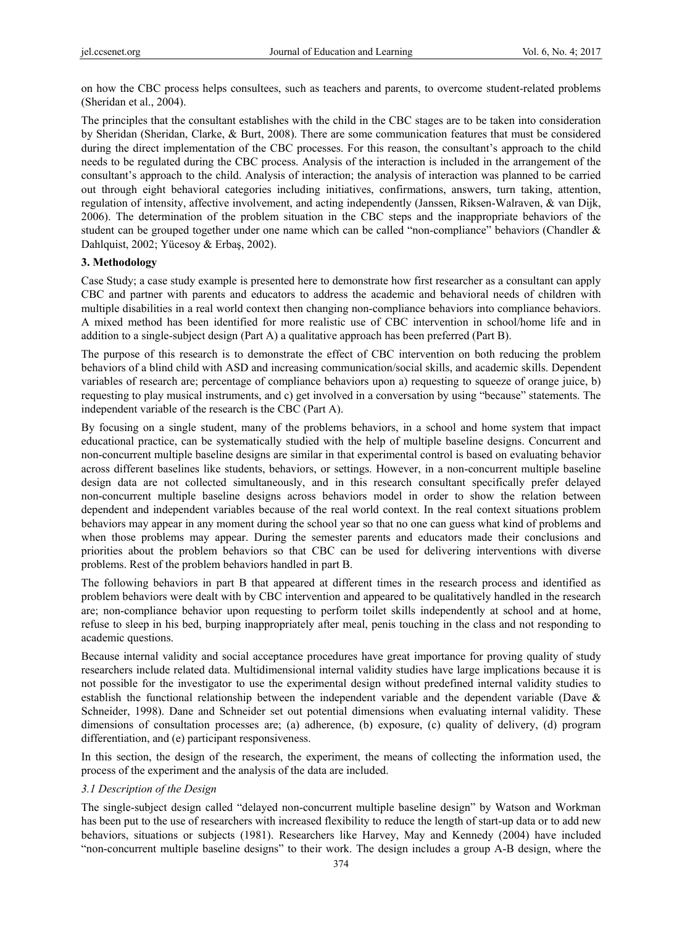on how the CBC process helps consultees, such as teachers and parents, to overcome student-related problems (Sheridan et al., 2004).

The principles that the consultant establishes with the child in the CBC stages are to be taken into consideration by Sheridan (Sheridan, Clarke, & Burt, 2008). There are some communication features that must be considered during the direct implementation of the CBC processes. For this reason, the consultant's approach to the child needs to be regulated during the CBC process. Analysis of the interaction is included in the arrangement of the consultant's approach to the child. Analysis of interaction; the analysis of interaction was planned to be carried out through eight behavioral categories including initiatives, confirmations, answers, turn taking, attention, regulation of intensity, affective involvement, and acting independently (Janssen, Riksen-Walraven, & van Dijk, 2006). The determination of the problem situation in the CBC steps and the inappropriate behaviors of the student can be grouped together under one name which can be called "non-compliance" behaviors (Chandler & Dahlquist, 2002; Yücesoy & Erbaş, 2002).

## **3. Methodology**

Case Study; a case study example is presented here to demonstrate how first researcher as a consultant can apply CBC and partner with parents and educators to address the academic and behavioral needs of children with multiple disabilities in a real world context then changing non-compliance behaviors into compliance behaviors. A mixed method has been identified for more realistic use of CBC intervention in school/home life and in addition to a single-subject design (Part A) a qualitative approach has been preferred (Part B).

The purpose of this research is to demonstrate the effect of CBC intervention on both reducing the problem behaviors of a blind child with ASD and increasing communication/social skills, and academic skills. Dependent variables of research are; percentage of compliance behaviors upon a) requesting to squeeze of orange juice, b) requesting to play musical instruments, and c) get involved in a conversation by using "because" statements. The independent variable of the research is the CBC (Part A).

By focusing on a single student, many of the problems behaviors, in a school and home system that impact educational practice, can be systematically studied with the help of multiple baseline designs. Concurrent and non-concurrent multiple baseline designs are similar in that experimental control is based on evaluating behavior across different baselines like students, behaviors, or settings. However, in a non-concurrent multiple baseline design data are not collected simultaneously, and in this research consultant specifically prefer delayed non-concurrent multiple baseline designs across behaviors model in order to show the relation between dependent and independent variables because of the real world context. In the real context situations problem behaviors may appear in any moment during the school year so that no one can guess what kind of problems and when those problems may appear. During the semester parents and educators made their conclusions and priorities about the problem behaviors so that CBC can be used for delivering interventions with diverse problems. Rest of the problem behaviors handled in part B.

The following behaviors in part B that appeared at different times in the research process and identified as problem behaviors were dealt with by CBC intervention and appeared to be qualitatively handled in the research are; non-compliance behavior upon requesting to perform toilet skills independently at school and at home, refuse to sleep in his bed, burping inappropriately after meal, penis touching in the class and not responding to academic questions.

Because internal validity and social acceptance procedures have great importance for proving quality of study researchers include related data. Multidimensional internal validity studies have large implications because it is not possible for the investigator to use the experimental design without predefined internal validity studies to establish the functional relationship between the independent variable and the dependent variable (Dave & Schneider, 1998). Dane and Schneider set out potential dimensions when evaluating internal validity. These dimensions of consultation processes are; (a) adherence, (b) exposure, (c) quality of delivery, (d) program differentiation, and (e) participant responsiveness.

In this section, the design of the research, the experiment, the means of collecting the information used, the process of the experiment and the analysis of the data are included.

#### *3.1 Description of the Design*

The single-subject design called "delayed non-concurrent multiple baseline design" by Watson and Workman has been put to the use of researchers with increased flexibility to reduce the length of start-up data or to add new behaviors, situations or subjects (1981). Researchers like Harvey, May and Kennedy (2004) have included "non-concurrent multiple baseline designs" to their work. The design includes a group A-B design, where the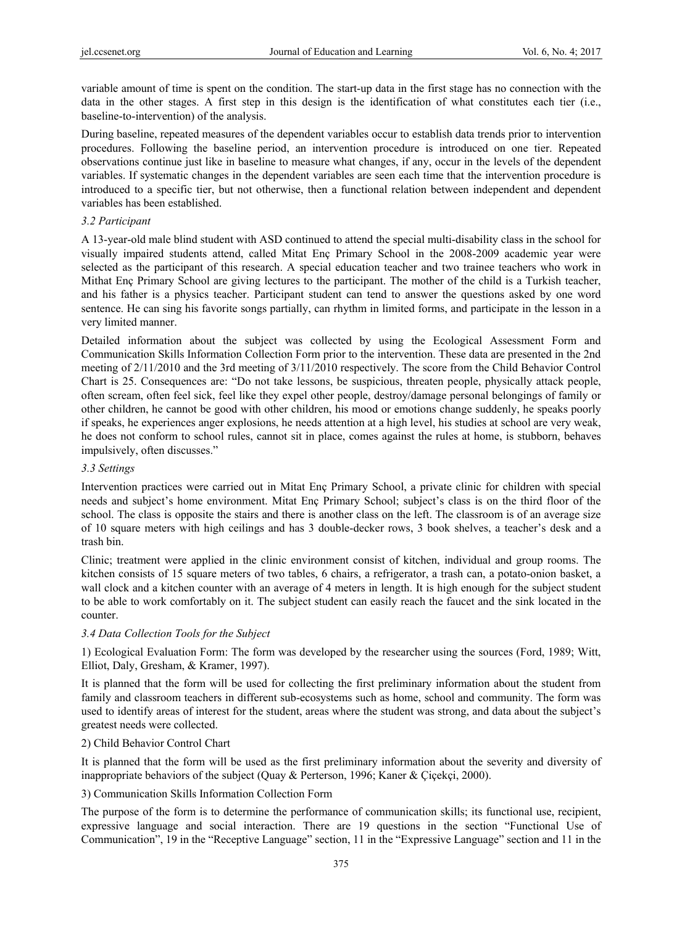variable amount of time is spent on the condition. The start-up data in the first stage has no connection with the data in the other stages. A first step in this design is the identification of what constitutes each tier (i.e., baseline-to-intervention) of the analysis.

During baseline, repeated measures of the dependent variables occur to establish data trends prior to intervention procedures. Following the baseline period, an intervention procedure is introduced on one tier. Repeated observations continue just like in baseline to measure what changes, if any, occur in the levels of the dependent variables. If systematic changes in the dependent variables are seen each time that the intervention procedure is introduced to a specific tier, but not otherwise, then a functional relation between independent and dependent variables has been established.

## *3.2 Participant*

A 13-year-old male blind student with ASD continued to attend the special multi-disability class in the school for visually impaired students attend, called Mitat Enç Primary School in the 2008-2009 academic year were selected as the participant of this research. A special education teacher and two trainee teachers who work in Mithat Enç Primary School are giving lectures to the participant. The mother of the child is a Turkish teacher, and his father is a physics teacher. Participant student can tend to answer the questions asked by one word sentence. He can sing his favorite songs partially, can rhythm in limited forms, and participate in the lesson in a very limited manner.

Detailed information about the subject was collected by using the Ecological Assessment Form and Communication Skills Information Collection Form prior to the intervention. These data are presented in the 2nd meeting of 2/11/2010 and the 3rd meeting of 3/11/2010 respectively. The score from the Child Behavior Control Chart is 25. Consequences are: "Do not take lessons, be suspicious, threaten people, physically attack people, often scream, often feel sick, feel like they expel other people, destroy/damage personal belongings of family or other children, he cannot be good with other children, his mood or emotions change suddenly, he speaks poorly if speaks, he experiences anger explosions, he needs attention at a high level, his studies at school are very weak, he does not conform to school rules, cannot sit in place, comes against the rules at home, is stubborn, behaves impulsively, often discusses."

## *3.3 Settings*

Intervention practices were carried out in Mitat Enç Primary School, a private clinic for children with special needs and subject's home environment. Mitat Enç Primary School; subject's class is on the third floor of the school. The class is opposite the stairs and there is another class on the left. The classroom is of an average size of 10 square meters with high ceilings and has 3 double-decker rows, 3 book shelves, a teacher's desk and a trash bin.

Clinic; treatment were applied in the clinic environment consist of kitchen, individual and group rooms. The kitchen consists of 15 square meters of two tables, 6 chairs, a refrigerator, a trash can, a potato-onion basket, a wall clock and a kitchen counter with an average of 4 meters in length. It is high enough for the subject student to be able to work comfortably on it. The subject student can easily reach the faucet and the sink located in the counter.

# *3.4 Data Collection Tools for the Subject*

1) Ecological Evaluation Form: The form was developed by the researcher using the sources (Ford, 1989; Witt, Elliot, Daly, Gresham, & Kramer, 1997).

It is planned that the form will be used for collecting the first preliminary information about the student from family and classroom teachers in different sub-ecosystems such as home, school and community. The form was used to identify areas of interest for the student, areas where the student was strong, and data about the subject's greatest needs were collected.

# 2) Child Behavior Control Chart

It is planned that the form will be used as the first preliminary information about the severity and diversity of inappropriate behaviors of the subject (Quay & Perterson, 1996; Kaner & Çiçekçi, 2000).

3) Communication Skills Information Collection Form

The purpose of the form is to determine the performance of communication skills; its functional use, recipient, expressive language and social interaction. There are 19 questions in the section "Functional Use of Communication", 19 in the "Receptive Language" section, 11 in the "Expressive Language" section and 11 in the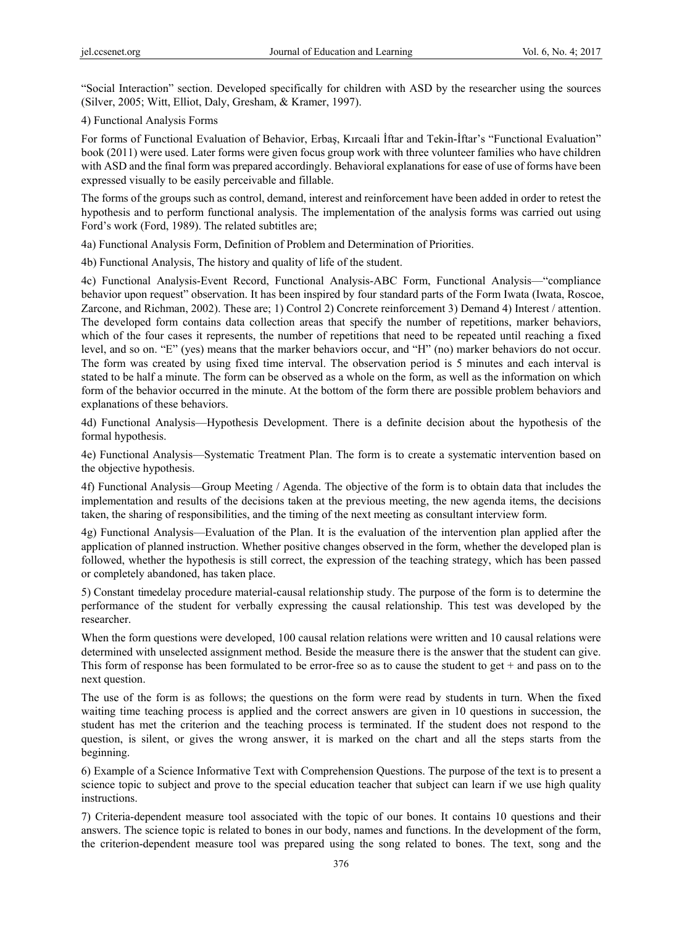"Social Interaction" section. Developed specifically for children with ASD by the researcher using the sources (Silver, 2005; Witt, Elliot, Daly, Gresham, & Kramer, 1997).

4) Functional Analysis Forms

For forms of Functional Evaluation of Behavior, Erbaş, Kırcaali İftar and Tekin-İftar's "Functional Evaluation" book (2011) were used. Later forms were given focus group work with three volunteer families who have children with ASD and the final form was prepared accordingly. Behavioral explanations for ease of use of forms have been expressed visually to be easily perceivable and fillable.

The forms of the groups such as control, demand, interest and reinforcement have been added in order to retest the hypothesis and to perform functional analysis. The implementation of the analysis forms was carried out using Ford's work (Ford, 1989). The related subtitles are;

4a) Functional Analysis Form, Definition of Problem and Determination of Priorities.

4b) Functional Analysis, The history and quality of life of the student.

4c) Functional Analysis-Event Record, Functional Analysis-ABC Form, Functional Analysis—"compliance behavior upon request" observation. It has been inspired by four standard parts of the Form Iwata (Iwata, Roscoe, Zarcone, and Richman, 2002). These are; 1) Control 2) Concrete reinforcement 3) Demand 4) Interest / attention. The developed form contains data collection areas that specify the number of repetitions, marker behaviors, which of the four cases it represents, the number of repetitions that need to be repeated until reaching a fixed level, and so on. "E" (yes) means that the marker behaviors occur, and "H" (no) marker behaviors do not occur. The form was created by using fixed time interval. The observation period is 5 minutes and each interval is stated to be half a minute. The form can be observed as a whole on the form, as well as the information on which form of the behavior occurred in the minute. At the bottom of the form there are possible problem behaviors and explanations of these behaviors.

4d) Functional Analysis—Hypothesis Development. There is a definite decision about the hypothesis of the formal hypothesis.

4e) Functional Analysis—Systematic Treatment Plan. The form is to create a systematic intervention based on the objective hypothesis.

4f) Functional Analysis—Group Meeting / Agenda. The objective of the form is to obtain data that includes the implementation and results of the decisions taken at the previous meeting, the new agenda items, the decisions taken, the sharing of responsibilities, and the timing of the next meeting as consultant interview form.

4g) Functional Analysis—Evaluation of the Plan. It is the evaluation of the intervention plan applied after the application of planned instruction. Whether positive changes observed in the form, whether the developed plan is followed, whether the hypothesis is still correct, the expression of the teaching strategy, which has been passed or completely abandoned, has taken place.

5) Constant time delay procedure material-causal relationship study. The purpose of the form is to determine the performance of the student for verbally expressing the causal relationship. This test was developed by the researcher.

When the form questions were developed, 100 causal relation relations were written and 10 causal relations were determined with unselected assignment method. Beside the measure there is the answer that the student can give. This form of response has been formulated to be error-free so as to cause the student to get  $+$  and pass on to the next question.

The use of the form is as follows; the questions on the form were read by students in turn. When the fixed waiting time teaching process is applied and the correct answers are given in 10 questions in succession, the student has met the criterion and the teaching process is terminated. If the student does not respond to the question, is silent, or gives the wrong answer, it is marked on the chart and all the steps starts from the beginning.

6) Example of a Science Informative Text with Comprehension Questions. The purpose of the text is to present a science topic to subject and prove to the special education teacher that subject can learn if we use high quality instructions.

7) Criteria-dependent measure tool associated with the topic of our bones. It contains 10 questions and their answers. The science topic is related to bones in our body, names and functions. In the development of the form, the criterion-dependent measure tool was prepared using the song related to bones. The text, song and the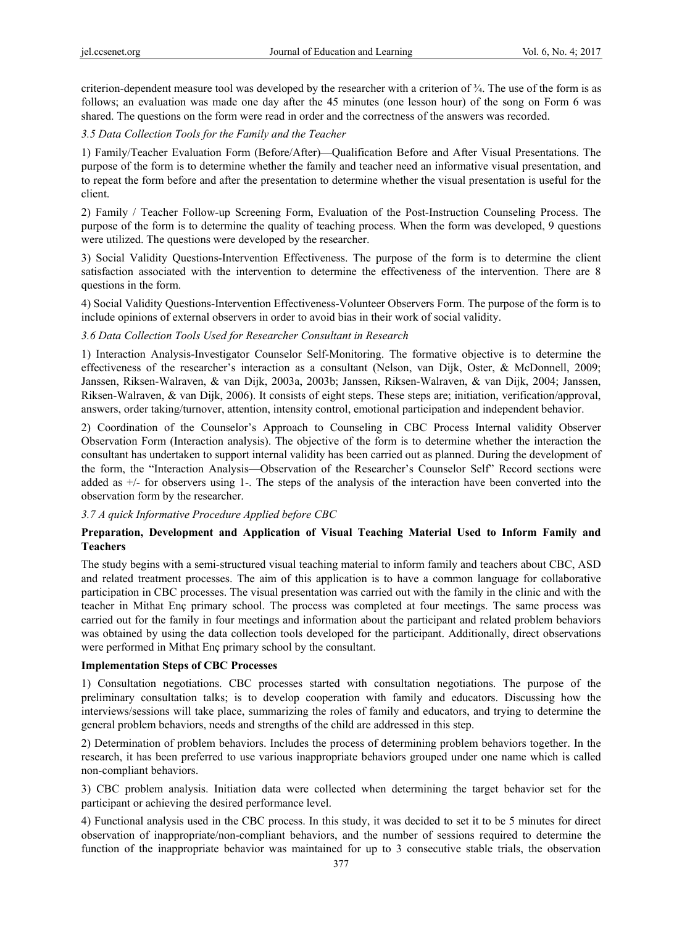criterion-dependent measure tool was developed by the researcher with a criterion of ¾. The use of the form is as follows; an evaluation was made one day after the 45 minutes (one lesson hour) of the song on Form 6 was shared. The questions on the form were read in order and the correctness of the answers was recorded.

#### *3.5 Data Collection Tools for the Family and the Teacher*

1) Family/Teacher Evaluation Form (Before/After)—Qualification Before and After Visual Presentations. The purpose of the form is to determine whether the family and teacher need an informative visual presentation, and to repeat the form before and after the presentation to determine whether the visual presentation is useful for the client.

2) Family / Teacher Follow-up Screening Form, Evaluation of the Post-Instruction Counseling Process. The purpose of the form is to determine the quality of teaching process. When the form was developed, 9 questions were utilized. The questions were developed by the researcher.

3) Social Validity Questions-Intervention Effectiveness. The purpose of the form is to determine the client satisfaction associated with the intervention to determine the effectiveness of the intervention. There are 8 questions in the form.

4) Social Validity Questions-Intervention Effectiveness-Volunteer Observers Form. The purpose of the form is to include opinions of external observers in order to avoid bias in their work of social validity.

## *3.6 Data Collection Tools Used for Researcher Consultant in Research*

1) Interaction Analysis-Investigator Counselor Self-Monitoring. The formative objective is to determine the effectiveness of the researcher's interaction as a consultant (Nelson, van Dijk, Oster, & McDonnell, 2009; Janssen, Riksen-Walraven, & van Dijk, 2003a, 2003b; Janssen, Riksen-Walraven, & van Dijk, 2004; Janssen, Riksen-Walraven, & van Dijk, 2006). It consists of eight steps. These steps are; initiation, verification/approval, answers, order taking/turnover, attention, intensity control, emotional participation and independent behavior.

2) Coordination of the Counselor's Approach to Counseling in CBC Process Internal validity Observer Observation Form (Interaction analysis). The objective of the form is to determine whether the interaction the consultant has undertaken to support internal validity has been carried out as planned. During the development of the form, the "Interaction Analysis—Observation of the Researcher's Counselor Self" Record sections were added as +/- for observers using 1-. The steps of the analysis of the interaction have been converted into the observation form by the researcher.

# *3.7 A quick Informative Procedure Applied before CBC*

## **Preparation, Development and Application of Visual Teaching Material Used to Inform Family and Teachers**

The study begins with a semi-structured visual teaching material to inform family and teachers about CBC, ASD and related treatment processes. The aim of this application is to have a common language for collaborative participation in CBC processes. The visual presentation was carried out with the family in the clinic and with the teacher in Mithat Enç primary school. The process was completed at four meetings. The same process was carried out for the family in four meetings and information about the participant and related problem behaviors was obtained by using the data collection tools developed for the participant. Additionally, direct observations were performed in Mithat Enç primary school by the consultant.

#### **Implementation Steps of CBC Processes**

1) Consultation negotiations. CBC processes started with consultation negotiations. The purpose of the preliminary consultation talks; is to develop cooperation with family and educators. Discussing how the interviews/sessions will take place, summarizing the roles of family and educators, and trying to determine the general problem behaviors, needs and strengths of the child are addressed in this step.

2) Determination of problem behaviors. Includes the process of determining problem behaviors together. In the research, it has been preferred to use various inappropriate behaviors grouped under one name which is called non-compliant behaviors.

3) CBC problem analysis. Initiation data were collected when determining the target behavior set for the participant or achieving the desired performance level.

4) Functional analysis used in the CBC process. In this study, it was decided to set it to be 5 minutes for direct observation of inappropriate/non-compliant behaviors, and the number of sessions required to determine the function of the inappropriate behavior was maintained for up to 3 consecutive stable trials, the observation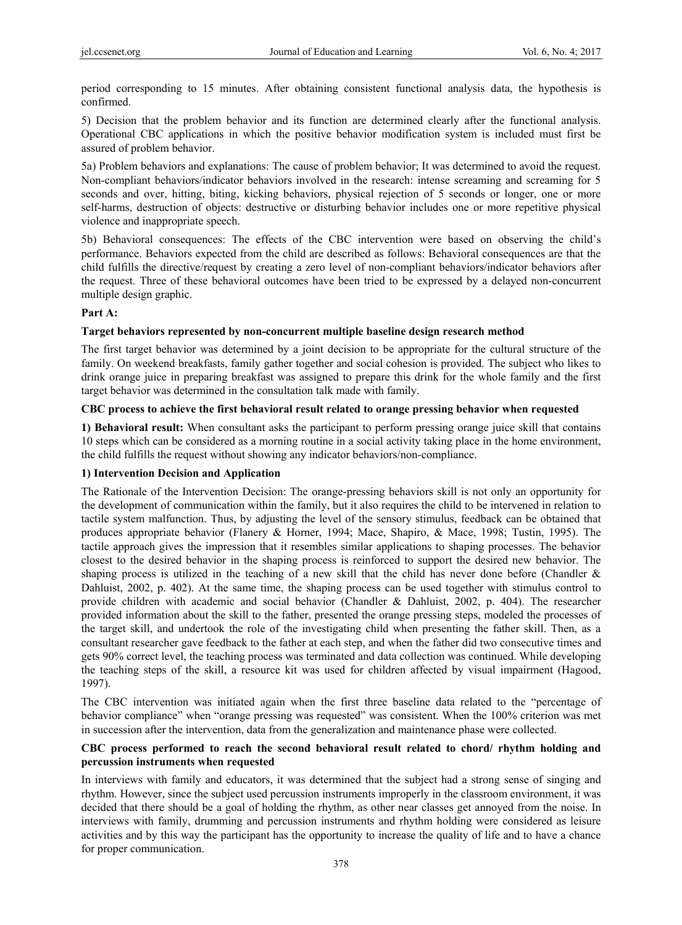period corresponding to 15 minutes. After obtaining consistent functional analysis data, the hypothesis is confirmed.

5) Decision that the problem behavior and its function are determined clearly after the functional analysis. Operational CBC applications in which the positive behavior modification system is included must first be assured of problem behavior.

5a) Problem behaviors and explanations: The cause of problem behavior; It was determined to avoid the request. Non-compliant behaviors/indicator behaviors involved in the research: intense screaming and screaming for 5 seconds and over, hitting, biting, kicking behaviors, physical rejection of 5 seconds or longer, one or more self-harms, destruction of objects: destructive or disturbing behavior includes one or more repetitive physical violence and inappropriate speech.

5b) Behavioral consequences: The effects of the CBC intervention were based on observing the child's performance. Behaviors expected from the child are described as follows: Behavioral consequences are that the child fulfills the directive/request by creating a zero level of non-compliant behaviors/indicator behaviors after the request. Three of these behavioral outcomes have been tried to be expressed by a delayed non-concurrent multiple design graphic.

## **Part A:**

## **Target behaviors represented by non-concurrent multiple baseline design research method**

The first target behavior was determined by a joint decision to be appropriate for the cultural structure of the family. On weekend breakfasts, family gather together and social cohesion is provided. The subject who likes to drink orange juice in preparing breakfast was assigned to prepare this drink for the whole family and the first target behavior was determined in the consultation talk made with family.

## **CBC process to achieve the first behavioral result related to orange pressing behavior when requested**

**1) Behavioral result:** When consultant asks the participant to perform pressing orange juice skill that contains 10 steps which can be considered as a morning routine in a social activity taking place in the home environment, the child fulfills the request without showing any indicator behaviors/non-compliance.

# **1) Intervention Decision and Application**

The Rationale of the Intervention Decision: The orange-pressing behaviors skill is not only an opportunity for the development of communication within the family, but it also requires the child to be intervened in relation to tactile system malfunction. Thus, by adjusting the level of the sensory stimulus, feedback can be obtained that produces appropriate behavior (Flanery & Horner, 1994; Mace, Shapiro, & Mace, 1998; Tustin, 1995). The tactile approach gives the impression that it resembles similar applications to shaping processes. The behavior closest to the desired behavior in the shaping process is reinforced to support the desired new behavior. The shaping process is utilized in the teaching of a new skill that the child has never done before (Chandler  $\&$ Dahluist, 2002, p. 402). At the same time, the shaping process can be used together with stimulus control to provide children with academic and social behavior (Chandler & Dahluist, 2002, p. 404). The researcher provided information about the skill to the father, presented the orange pressing steps, modeled the processes of the target skill, and undertook the role of the investigating child when presenting the father skill. Then, as a consultant researcher gave feedback to the father at each step, and when the father did two consecutive times and gets 90% correct level, the teaching process was terminated and data collection was continued. While developing the teaching steps of the skill, a resource kit was used for children affected by visual impairment (Hagood, 1997).

The CBC intervention was initiated again when the first three baseline data related to the "percentage of behavior compliance" when "orange pressing was requested" was consistent. When the 100% criterion was met in succession after the intervention, data from the generalization and maintenance phase were collected.

## **CBC process performed to reach the second behavioral result related to chord/ rhythm holding and percussion instruments when requested**

In interviews with family and educators, it was determined that the subject had a strong sense of singing and rhythm. However, since the subject used percussion instruments improperly in the classroom environment, it was decided that there should be a goal of holding the rhythm, as other near classes get annoyed from the noise. In interviews with family, drumming and percussion instruments and rhythm holding were considered as leisure activities and by this way the participant has the opportunity to increase the quality of life and to have a chance for proper communication.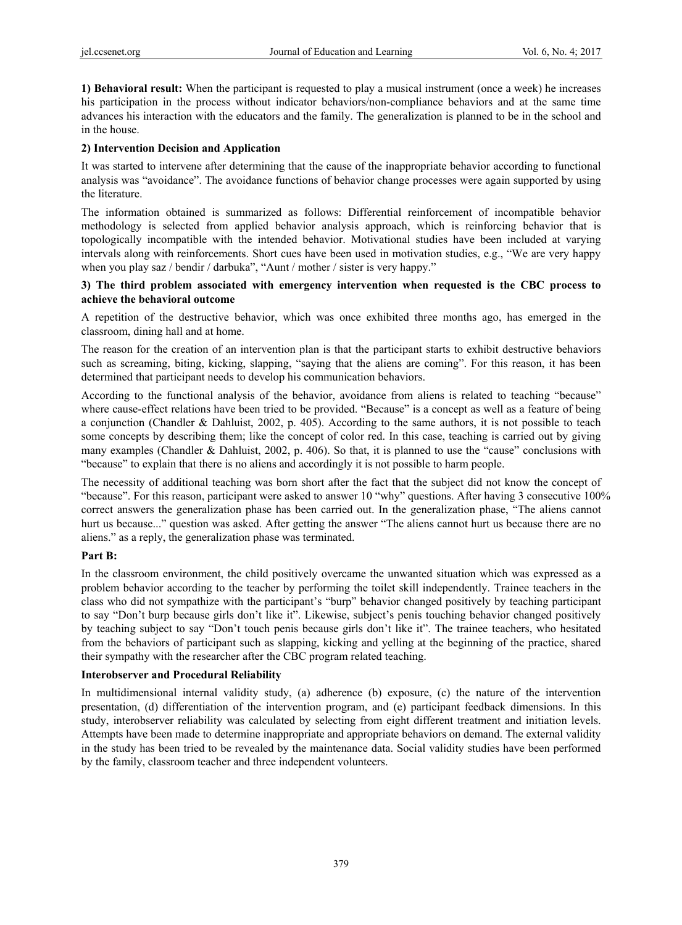**1) Behavioral result:** When the participant is requested to play a musical instrument (once a week) he increases his participation in the process without indicator behaviors/non-compliance behaviors and at the same time advances his interaction with the educators and the family. The generalization is planned to be in the school and in the house.

#### **2) Intervention Decision and Application**

It was started to intervene after determining that the cause of the inappropriate behavior according to functional analysis was "avoidance". The avoidance functions of behavior change processes were again supported by using the literature.

The information obtained is summarized as follows: Differential reinforcement of incompatible behavior methodology is selected from applied behavior analysis approach, which is reinforcing behavior that is topologically incompatible with the intended behavior. Motivational studies have been included at varying intervals along with reinforcements. Short cues have been used in motivation studies, e.g., "We are very happy when you play saz / bendir / darbuka", "Aunt / mother / sister is very happy."

#### **3) The third problem associated with emergency intervention when requested is the CBC process to achieve the behavioral outcome**

A repetition of the destructive behavior, which was once exhibited three months ago, has emerged in the classroom, dining hall and at home.

The reason for the creation of an intervention plan is that the participant starts to exhibit destructive behaviors such as screaming, biting, kicking, slapping, "saying that the aliens are coming". For this reason, it has been determined that participant needs to develop his communication behaviors.

According to the functional analysis of the behavior, avoidance from aliens is related to teaching "because" where cause-effect relations have been tried to be provided. "Because" is a concept as well as a feature of being a conjunction (Chandler & Dahluist, 2002, p. 405). According to the same authors, it is not possible to teach some concepts by describing them; like the concept of color red. In this case, teaching is carried out by giving many examples (Chandler & Dahluist, 2002, p. 406). So that, it is planned to use the "cause" conclusions with "because" to explain that there is no aliens and accordingly it is not possible to harm people.

The necessity of additional teaching was born short after the fact that the subject did not know the concept of "because". For this reason, participant were asked to answer 10 "why" questions. After having 3 consecutive 100% correct answers the generalization phase has been carried out. In the generalization phase, "The aliens cannot hurt us because..." question was asked. After getting the answer "The aliens cannot hurt us because there are no aliens." as a reply, the generalization phase was terminated.

# **Part B:**

In the classroom environment, the child positively overcame the unwanted situation which was expressed as a problem behavior according to the teacher by performing the toilet skill independently. Trainee teachers in the class who did not sympathize with the participant's "burp" behavior changed positively by teaching participant to say "Don't burp because girls don't like it". Likewise, subject's penis touching behavior changed positively by teaching subject to say "Don't touch penis because girls don't like it". The trainee teachers, who hesitated from the behaviors of participant such as slapping, kicking and yelling at the beginning of the practice, shared their sympathy with the researcher after the CBC program related teaching.

# **Interobserver and Procedural Reliability**

In multidimensional internal validity study, (a) adherence (b) exposure, (c) the nature of the intervention presentation, (d) differentiation of the intervention program, and (e) participant feedback dimensions. In this study, interobserver reliability was calculated by selecting from eight different treatment and initiation levels. Attempts have been made to determine inappropriate and appropriate behaviors on demand. The external validity in the study has been tried to be revealed by the maintenance data. Social validity studies have been performed by the family, classroom teacher and three independent volunteers.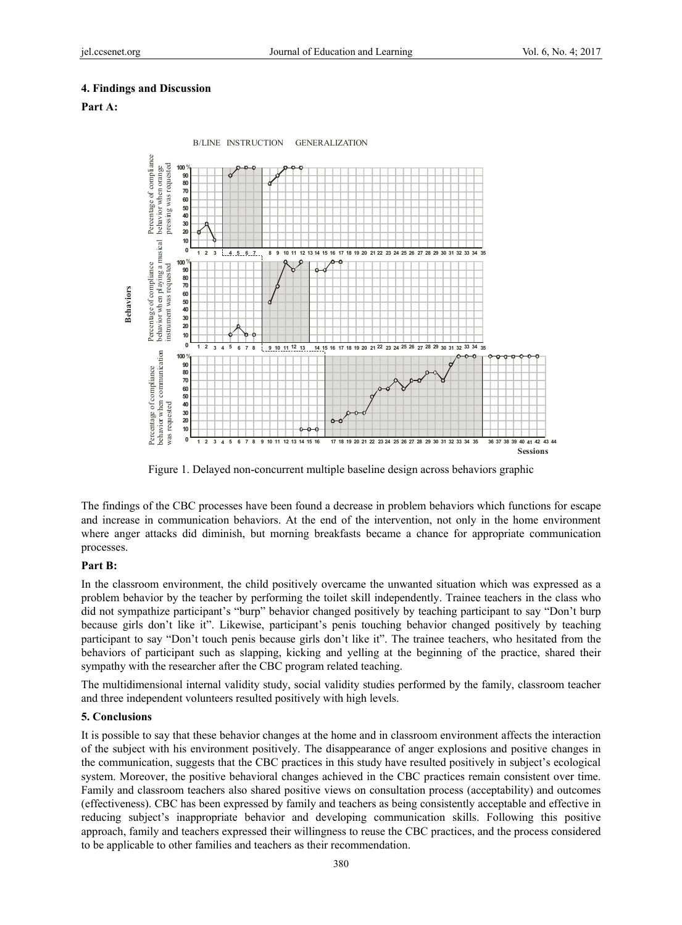#### **4. Findings and Discussion**

## **Part A:**



Figure 1. Delayed non-concurrent multiple baseline design across behaviors graphic

The findings of the CBC processes have been found a decrease in problem behaviors which functions for escape and increase in communication behaviors. At the end of the intervention, not only in the home environment where anger attacks did diminish, but morning breakfasts became a chance for appropriate communication processes.

#### **Part B:**

In the classroom environment, the child positively overcame the unwanted situation which was expressed as a problem behavior by the teacher by performing the toilet skill independently. Trainee teachers in the class who did not sympathize participant's "burp" behavior changed positively by teaching participant to say "Don't burp because girls don't like it". Likewise, participant's penis touching behavior changed positively by teaching participant to say "Don't touch penis because girls don't like it". The trainee teachers, who hesitated from the behaviors of participant such as slapping, kicking and yelling at the beginning of the practice, shared their sympathy with the researcher after the CBC program related teaching.

The multidimensional internal validity study, social validity studies performed by the family, classroom teacher and three independent volunteers resulted positively with high levels.

#### **5. Conclusions**

It is possible to say that these behavior changes at the home and in classroom environment affects the interaction of the subject with his environment positively. The disappearance of anger explosions and positive changes in the communication, suggests that the CBC practices in this study have resulted positively in subject's ecological system. Moreover, the positive behavioral changes achieved in the CBC practices remain consistent over time. Family and classroom teachers also shared positive views on consultation process (acceptability) and outcomes (effectiveness). CBC has been expressed by family and teachers as being consistently acceptable and effective in reducing subject's inappropriate behavior and developing communication skills. Following this positive approach, family and teachers expressed their willingness to reuse the CBC practices, and the process considered to be applicable to other families and teachers as their recommendation.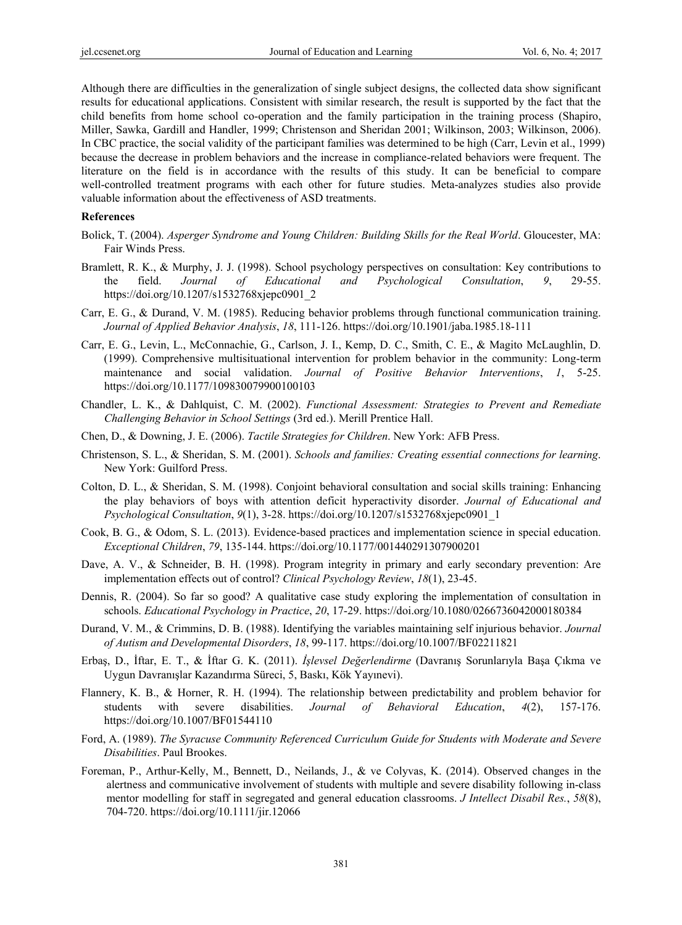Although there are difficulties in the generalization of single subject designs, the collected data show significant results for educational applications. Consistent with similar research, the result is supported by the fact that the child benefits from home school co-operation and the family participation in the training process (Shapiro, Miller, Sawka, Gardill and Handler, 1999; Christenson and Sheridan 2001; Wilkinson, 2003; Wilkinson, 2006). In CBC practice, the social validity of the participant families was determined to be high (Carr, Levin et al., 1999) because the decrease in problem behaviors and the increase in compliance-related behaviors were frequent. The literature on the field is in accordance with the results of this study. It can be beneficial to compare well-controlled treatment programs with each other for future studies. Meta-analyzes studies also provide valuable information about the effectiveness of ASD treatments.

#### **References**

- Bolick, T. (2004). *Asperger Syndrome and Young Children: Building Skills for the Real World*. Gloucester, MA: Fair Winds Press.
- Bramlett, R. K., & Murphy, J. J. (1998). School psychology perspectives on consultation: Key contributions to the field. *Journal of Educational and Psychological Consultation*, *9*, 29-55. https://doi.org/10.1207/s1532768xjepc0901\_2
- Carr, E. G., & Durand, V. M. (1985). Reducing behavior problems through functional communication training. *Journal of Applied Behavior Analysis*, *18*, 111-126. https://doi.org/10.1901/jaba.1985.18-111
- Carr, E. G., Levin, L., McConnachie, G., Carlson, J. I., Kemp, D. C., Smith, C. E., & Magito McLaughlin, D. (1999). Comprehensive multisituational intervention for problem behavior in the community: Long-term maintenance and social validation. *Journal of Positive Behavior Interventions*, *1*, 5-25. https://doi.org/10.1177/109830079900100103
- Chandler, L. K., & Dahlquist, C. M. (2002). *Functional Assessment: Strategies to Prevent and Remediate Challenging Behavior in School Settings* (3rd ed.). Merill Prentice Hall.
- Chen, D., & Downing, J. E. (2006). *Tactile Strategies for Children*. New York: AFB Press.
- Christenson, S. L., & Sheridan, S. M. (2001). *Schools and families: Creating essential connections for learning*. New York: Guilford Press.
- Colton, D. L., & Sheridan, S. M. (1998). Conjoint behavioral consultation and social skills training: Enhancing the play behaviors of boys with attention deficit hyperactivity disorder. *Journal of Educational and Psychological Consultation*, *9*(1), 3-28. https://doi.org/10.1207/s1532768xjepc0901\_1
- Cook, B. G., & Odom, S. L. (2013). Evidence-based practices and implementation science in special education. *Exceptional Children*, *79*, 135-144. https://doi.org/10.1177/001440291307900201
- Dave, A. V., & Schneider, B. H. (1998). Program integrity in primary and early secondary prevention: Are implementation effects out of control? *Clinical Psychology Review*, *18*(1), 23-45.
- Dennis, R. (2004). So far so good? A qualitative case study exploring the implementation of consultation in schools. *Educational Psychology in Practice*, *20*, 17-29. https://doi.org/10.1080/0266736042000180384
- Durand, V. M., & Crimmins, D. B. (1988). Identifying the variables maintaining self injurious behavior. *Journal of Autism and Developmental Disorders*, *18*, 99-117. https://doi.org/10.1007/BF02211821
- Erbaş, D., İftar, E. T., & İftar G. K. (2011). *İşlevsel Değerlendirme* (Davranış Sorunlarıyla Başa Çıkma ve Uygun Davranışlar Kazandırma Süreci, 5, Baskı, Kök Yayınevi).
- Flannery, K. B., & Horner, R. H. (1994). The relationship between predictability and problem behavior for students with severe disabilities. *Journal of Behavioral Education*, *4*(2), 157-176. https://doi.org/10.1007/BF01544110
- Ford, A. (1989). *The Syracuse Community Referenced Curriculum Guide for Students with Moderate and Severe Disabilities*. Paul Brookes.
- Foreman, P., Arthur-Kelly, M., Bennett, D., Neilands, J., & ve Colyvas, K. (2014). Observed changes in the alertness and communicative involvement of students with multiple and severe disability following in-class mentor modelling for staff in segregated and general education classrooms. *J Intellect Disabil Res.*, *58*(8), 704-720. https://doi.org/10.1111/jir.12066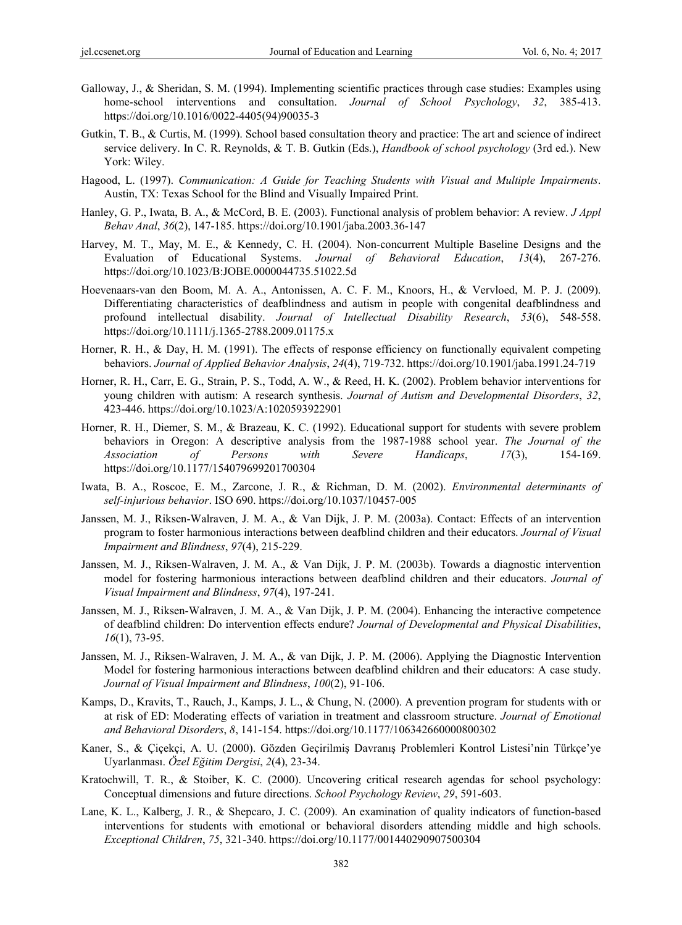- Galloway, J., & Sheridan, S. M. (1994). Implementing scientific practices through case studies: Examples using home-school interventions and consultation. *Journal of School Psychology*, *32*, 385-413. https://doi.org/10.1016/0022-4405(94)90035-3
- Gutkin, T. B., & Curtis, M. (1999). School based consultation theory and practice: The art and science of indirect service delivery. In C. R. Reynolds, & T. B. Gutkin (Eds.), *Handbook of school psychology* (3rd ed.). New York: Wiley.
- Hagood, L. (1997). *Communication: A Guide for Teaching Students with Visual and Multiple Impairments*. Austin, TX: Texas School for the Blind and Visually Impaired Print.
- Hanley, G. P., Iwata, B. A., & McCord, B. E. (2003). Functional analysis of problem behavior: A review. *J Appl Behav Anal*, *36*(2), 147-185. https://doi.org/10.1901/jaba.2003.36-147
- Harvey, M. T., May, M. E., & Kennedy, C. H. (2004). Non-concurrent Multiple Baseline Designs and the Evaluation of Educational Systems. *Journal of Behavioral Education*, *13*(4), 267-276. https://doi.org/10.1023/B:JOBE.0000044735.51022.5d
- Hoevenaars-van den Boom, M. A. A., Antonissen, A. C. F. M., Knoors, H., & Vervloed, M. P. J. (2009). Differentiating characteristics of deafblindness and autism in people with congenital deafblindness and profound intellectual disability. *Journal of Intellectual Disability Research*, *53*(6), 548-558. https://doi.org/10.1111/j.1365-2788.2009.01175.x
- Horner, R. H., & Day, H. M. (1991). The effects of response efficiency on functionally equivalent competing behaviors. *Journal of Applied Behavior Analysis*, *24*(4), 719-732. https://doi.org/10.1901/jaba.1991.24-719
- Horner, R. H., Carr, E. G., Strain, P. S., Todd, A. W., & Reed, H. K. (2002). Problem behavior interventions for young children with autism: A research synthesis. *Journal of Autism and Developmental Disorders*, *32*, 423-446. https://doi.org/10.1023/A:1020593922901
- Horner, R. H., Diemer, S. M., & Brazeau, K. C. (1992). Educational support for students with severe problem behaviors in Oregon: A descriptive analysis from the 1987-1988 school year. *The Journal of the Association of Persons with Severe Handicaps*, *17*(3), 154-169. https://doi.org/10.1177/154079699201700304
- Iwata, B. A., Roscoe, E. M., Zarcone, J. R., & Richman, D. M. (2002). *Environmental determinants of self-injurious behavior*. ISO 690. https://doi.org/10.1037/10457-005
- Janssen, M. J., Riksen-Walraven, J. M. A., & Van Dijk, J. P. M. (2003a). Contact: Effects of an intervention program to foster harmonious interactions between deafblind children and their educators. *Journal of Visual Impairment and Blindness*, *97*(4), 215-229.
- Janssen, M. J., Riksen-Walraven, J. M. A., & Van Dijk, J. P. M. (2003b). Towards a diagnostic intervention model for fostering harmonious interactions between deafblind children and their educators. *Journal of Visual Impairment and Blindness*, *97*(4), 197-241.
- Janssen, M. J., Riksen-Walraven, J. M. A., & Van Dijk, J. P. M. (2004). Enhancing the interactive competence of deafblind children: Do intervention effects endure? *Journal of Developmental and Physical Disabilities*, *16*(1), 73-95.
- Janssen, M. J., Riksen-Walraven, J. M. A., & van Dijk, J. P. M. (2006). Applying the Diagnostic Intervention Model for fostering harmonious interactions between deafblind children and their educators: A case study. *Journal of Visual Impairment and Blindness*, *100*(2), 91-106.
- Kamps, D., Kravits, T., Rauch, J., Kamps, J. L., & Chung, N. (2000). A prevention program for students with or at risk of ED: Moderating effects of variation in treatment and classroom structure. *Journal of Emotional and Behavioral Disorders*, *8*, 141-154. https://doi.org/10.1177/106342660000800302
- Kaner, S., & Çiçekçi, A. U. (2000). Gözden Geçirilmiş Davranış Problemleri Kontrol Listesi'nin Türkçe'ye Uyarlanması. *Özel Eğitim Dergisi*, *2*(4), 23-34.
- Kratochwill, T. R., & Stoiber, K. C. (2000). Uncovering critical research agendas for school psychology: Conceptual dimensions and future directions. *School Psychology Review*, *29*, 591-603.
- Lane, K. L., Kalberg, J. R., & Shepcaro, J. C. (2009). An examination of quality indicators of function-based interventions for students with emotional or behavioral disorders attending middle and high schools. *Exceptional Children*, *75*, 321-340. https://doi.org/10.1177/001440290907500304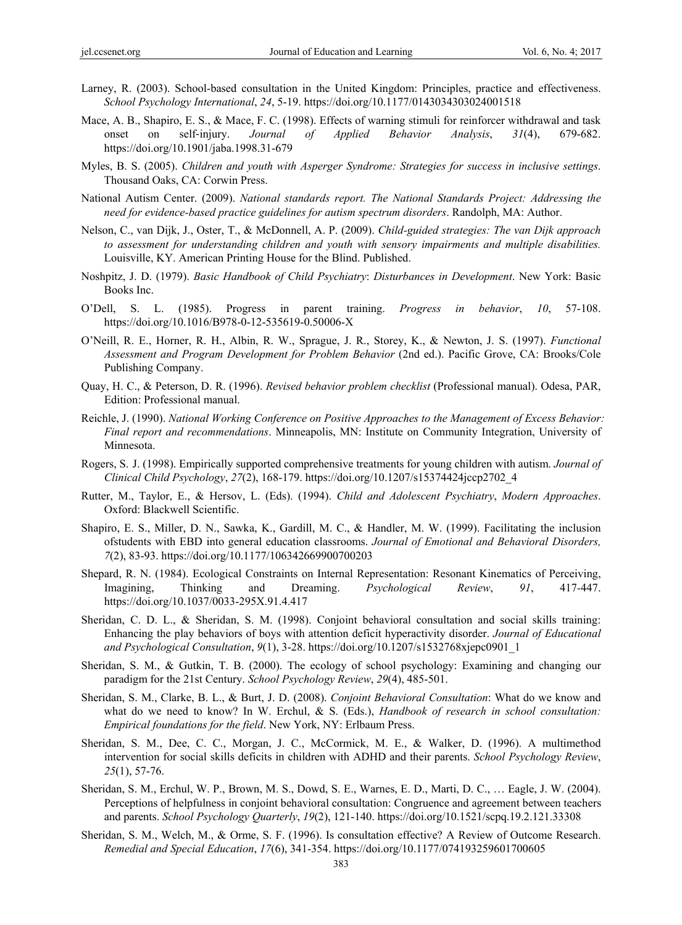- Larney, R. (2003). School-based consultation in the United Kingdom: Principles, practice and effectiveness. *School Psychology International*, *24*, 5-19. https://doi.org/10.1177/0143034303024001518
- Mace, A. B., Shapiro, E. S., & Mace, F. C. (1998). Effects of warning stimuli for reinforcer withdrawal and task onset on self‐injury. *Journal of Applied Behavior Analysis*, *31*(4), 679-682. https://doi.org/10.1901/jaba.1998.31-679
- Myles, B. S. (2005). *Children and youth with Asperger Syndrome: Strategies for success in inclusive settings*. Thousand Oaks, CA: Corwin Press.
- National Autism Center. (2009). *National standards report. The National Standards Project: Addressing the need for evidence-based practice guidelines for autism spectrum disorders*. Randolph, MA: Author.
- Nelson, C., van Dijk, J., Oster, T., & McDonnell, A. P. (2009). *Child-guided strategies: The van Dijk approach to assessment for understanding children and youth with sensory impairments and multiple disabilities.* Louisville, KY. American Printing House for the Blind. Published.
- Noshpitz, J. D. (1979). *Basic Handbook of Child Psychiatry*: *Disturbances in Development*. New York: Basic Books Inc.
- O'Dell, S. L. (1985). Progress in parent training. *Progress in behavior*, *10*, 57-108. https://doi.org/10.1016/B978-0-12-535619-0.50006-X
- O'Neill, R. E., Horner, R. H., Albin, R. W., Sprague, J. R., Storey, K., & Newton, J. S. (1997). *Functional Assessment and Program Development for Problem Behavior* (2nd ed.). Pacific Grove, CA: Brooks/Cole Publishing Company.
- Quay, H. C., & Peterson, D. R. (1996). *Revised behavior problem checklist* (Professional manual). Odesa, PAR, Edition: Professional manual.
- Reichle, J. (1990). *National Working Conference on Positive Approaches to the Management of Excess Behavior: Final report and recommendations*. Minneapolis, MN: Institute on Community Integration, University of Minnesota.
- Rogers, S. J. (1998). Empirically supported comprehensive treatments for young children with autism. *Journal of Clinical Child Psychology*, *27*(2), 168-179. https://doi.org/10.1207/s15374424jccp2702\_4
- Rutter, M., Taylor, E., & Hersov, L. (Eds). (1994). *Child and Adolescent Psychiatry*, *Modern Approaches*. Oxford: Blackwell Scientific.
- Shapiro, E. S., Miller, D. N., Sawka, K., Gardill, M. C., & Handler, M. W. (1999). Facilitating the inclusion ofstudents with EBD into general education classrooms. *Journal of Emotional and Behavioral Disorders, 7*(2), 83-93. https://doi.org/10.1177/106342669900700203
- Shepard, R. N. (1984). Ecological Constraints on Internal Representation: Resonant Kinematics of Perceiving, Imagining, Thinking and Dreaming. *Psychological Review*, *91*, 417*-*447. https://doi.org/10.1037/0033-295X.91.4.417
- Sheridan, C. D. L., & Sheridan, S. M. (1998). Conjoint behavioral consultation and social skills training: Enhancing the play behaviors of boys with attention deficit hyperactivity disorder. *Journal of Educational and Psychological Consultation*, *9*(1), 3-28. https://doi.org/10.1207/s1532768xjepc0901\_1
- Sheridan, S. M., & Gutkin, T. B. (2000). The ecology of school psychology: Examining and changing our paradigm for the 21st Century. *School Psychology Review*, *29*(4), 485-501.
- Sheridan, S. M., Clarke, B. L., & Burt, J. D. (2008). *Conjoint Behavioral Consultation*: What do we know and what do we need to know? In W. Erchul, & S. (Eds.), *Handbook of research in school consultation*: *Empirical foundations for the field*. New York, NY: Erlbaum Press.
- Sheridan, S. M., Dee, C. C., Morgan, J. C., McCormick, M. E., & Walker, D. (1996). A multimethod intervention for social skills deficits in children with ADHD and their parents. *School Psychology Review*, *25*(1), 57-76.
- Sheridan, S. M., Erchul, W. P., Brown, M. S., Dowd, S. E., Warnes, E. D., Marti, D. C., … Eagle, J. W. (2004). Perceptions of helpfulness in conjoint behavioral consultation: Congruence and agreement between teachers and parents. *School Psychology Quarterly*, *19*(2), 121-140. https://doi.org/10.1521/scpq.19.2.121.33308
- Sheridan, S. M., Welch, M., & Orme, S. F. (1996). Is consultation effective? A Review of Outcome Research. *Remedial and Special Education*, *17*(6), 341-354. https://doi.org/10.1177/074193259601700605